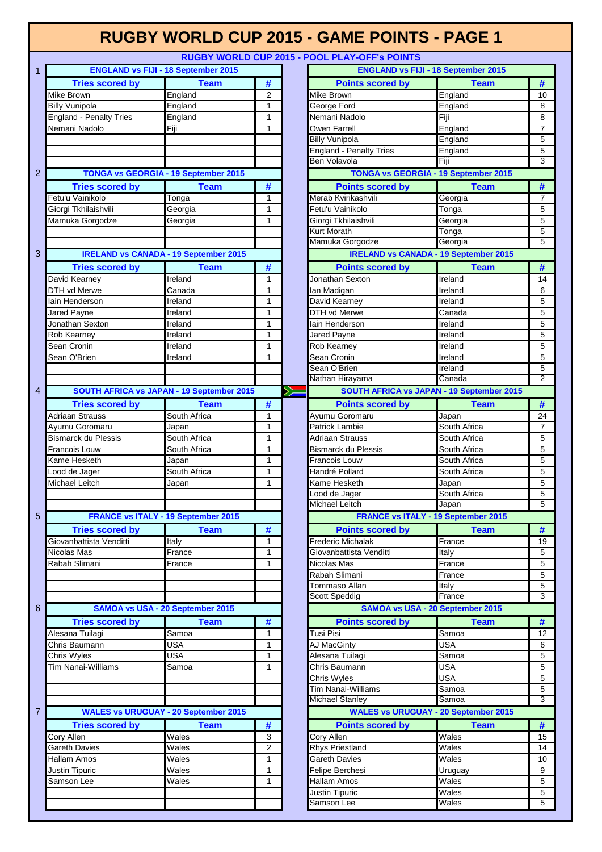|                |                                |                                                  |                |   | <b>RUGBY WORLD CUP 2015 - GAME POINTS - PAGE 1</b> |                |                         |
|----------------|--------------------------------|--------------------------------------------------|----------------|---|----------------------------------------------------|----------------|-------------------------|
|                |                                |                                                  |                |   | RUGBY WORLD CUP 2015 - POOL PLAY-OFF's POINTS      |                |                         |
| 1              |                                | <b>ENGLAND vs FIJI - 18 September 2015</b>       |                |   | <b>ENGLAND vs FIJI - 18 September 2015</b>         |                |                         |
|                | <b>Tries scored by</b>         | <b>Team</b>                                      | #              |   | <b>Points scored by</b>                            | <b>Team</b>    | #                       |
|                | Mike Brown                     | England                                          | $\overline{2}$ |   | Mike Brown                                         | England        | 10                      |
|                | <b>Billy Vunipola</b>          | England                                          | 1              |   | George Ford                                        | England        | 8                       |
|                | <b>England - Penalty Tries</b> | England                                          | 1              |   | Nemani Nadolo                                      | Fiji           | 8                       |
|                | Nemani Nadolo                  | Fiji                                             | 1              |   | Owen Farrell                                       | England        | $\overline{7}$          |
|                |                                |                                                  |                |   | <b>Billy Vunipola</b>                              | England        | 5                       |
|                |                                |                                                  |                |   | <b>England - Penalty Tries</b>                     | England        | 5                       |
|                |                                |                                                  |                |   | Ben Volavola                                       | Fiii           | $\overline{3}$          |
| 2              |                                | <b>TONGA vs GEORGIA - 19 September 2015</b>      |                |   | <b>TONGA vs GEORGIA - 19 September 2015</b>        |                |                         |
|                | <b>Tries scored by</b>         | <b>Team</b>                                      | #              |   | <b>Points scored by</b>                            | <b>Team</b>    | #                       |
|                | Fetu'u Vainikolo               | Tonga                                            | 1              |   | Merab Kvirikashvili                                | Georgia        | $\overline{7}$          |
|                | Giorgi Tkhilaishvili           | Georgia                                          | 1              |   | Fetu'u Vainikolo                                   | Tonga          | 5                       |
|                | Mamuka Gorgodze                | Georgia                                          | 1              |   | Giorgi Tkhilaishvili                               | Georgia        | 5                       |
|                |                                |                                                  |                |   | Kurt Morath                                        | Tonga          | 5                       |
|                |                                |                                                  |                |   | Mamuka Gorgodze                                    | Georgia        | $\overline{5}$          |
| 3              |                                | <b>IRELAND vs CANADA - 19 September 2015</b>     |                |   | <b>IRELAND vs CANADA - 19 September 2015</b>       |                |                         |
|                | <b>Tries scored by</b>         | <b>Team</b>                                      | #              |   | <b>Points scored by</b>                            | <b>Team</b>    | #                       |
|                | David Kearney                  | Ireland                                          | 1              |   | Jonathan Sexton                                    | Ireland        | 14                      |
|                | DTH vd Merwe                   | Canada                                           | $\mathbf{1}$   |   | lan Madigan                                        | Ireland        | 6                       |
|                | lain Henderson                 | Ireland                                          | $\mathbf{1}$   |   | David Kearney                                      | Ireland        | 5                       |
|                | Jared Payne                    | Ireland                                          | 1              |   | DTH vd Merwe                                       | Canada         | 5                       |
|                | Jonathan Sexton                | Ireland                                          | 1              |   | lain Henderson                                     | Ireland        | 5                       |
|                | Rob Kearney                    | Ireland                                          | 1              |   | Jared Payne                                        | Ireland        | 5                       |
|                | Sean Cronin                    | Ireland                                          | 1              |   | Rob Kearney                                        | Ireland        | 5                       |
|                | Sean O'Brien                   | Ireland                                          | $\mathbf{1}$   |   | Sean Cronin                                        | Ireland        | 5                       |
|                |                                |                                                  |                |   | Sean O'Brien                                       | <b>Ireland</b> | 5                       |
|                |                                |                                                  |                |   | Nathan Hirayama                                    | Canada         | $\overline{2}$          |
| $\overline{4}$ |                                | <b>SOUTH AFRICA vs JAPAN - 19 September 2015</b> |                | Ý | SOUTH AFRICA vs JAPAN - 19 September 2015          |                |                         |
|                | <b>Tries scored by</b>         | <b>Team</b>                                      | #              |   | <b>Points scored by</b>                            | <b>Team</b>    | #                       |
|                | <b>Adriaan Strauss</b>         | South Africa                                     | $\mathbf{1}$   |   | Ayumu Goromaru                                     | Japan          | 24                      |
|                | Ayumu Goromaru                 | Japan                                            | 1              |   | <b>Patrick Lambie</b>                              | South Africa   | $\overline{7}$          |
|                | <b>Bismarck du Plessis</b>     | South Africa                                     | 1              |   | Adriaan Strauss                                    | South Africa   | 5                       |
|                | Francois Louw                  | South Africa                                     | 1              |   | <b>Bismarck du Plessis</b>                         | South Africa   | 5                       |
|                | Kame Hesketh                   | Japan                                            | $\mathbf{1}$   |   | Francois Louw                                      | South Africa   | 5                       |
|                | Lood de Jager                  | South Africa                                     | $\mathbf{1}$   |   | Handré Pollard                                     | South Africa   | 5                       |
|                | Michael Leitch                 | Japan                                            | $\mathbf{1}$   |   | Kame Hesketh                                       | Japan          | 5                       |
|                |                                |                                                  |                |   | ood de Jager                                       | South Africa   | 5                       |
|                |                                |                                                  |                |   | Michael Leitch                                     | Japan          | 5                       |
| 5              |                                | <b>FRANCE vs ITALY - 19 September 2015</b>       |                |   | <b>FRANCE vs ITALY - 19 September 2015</b>         |                |                         |
|                | <b>Tries scored by</b>         | <b>Team</b>                                      | #              |   | <b>Points scored by</b>                            | <b>Team</b>    | $\overline{\mathbf{t}}$ |
|                | Giovanbattista Venditti        | Italy                                            | 1              |   | <b>Frederic Michalak</b>                           | France         | 19                      |
|                | Nicolas Mas                    | France                                           | 1              |   | Giovanbattista Venditti                            | Italy          | 5                       |
|                | Rabah Slimani                  | France                                           | $\mathbf{1}$   |   | Nicolas Mas                                        | France         | 5                       |
|                |                                |                                                  |                |   | Rabah Slimani                                      | France         | 5                       |
|                |                                |                                                  |                |   | Tommaso Allan                                      | <b>Italy</b>   | 5                       |
|                |                                |                                                  |                |   | Scott Speddig                                      | France         | $\overline{3}$          |
| 6              |                                | <b>SAMOA vs USA - 20 September 2015</b>          |                |   | SAMOA vs USA - 20 September 2015                   |                |                         |
|                | <b>Tries scored by</b>         | <b>Team</b>                                      | #              |   | <b>Points scored by</b>                            | <b>Team</b>    | #                       |
|                | Alesana Tuilagi                | Samoa                                            | 1              |   | Tusi Pisi                                          | Samoa          | 12                      |
|                | Chris Baumann                  | USA                                              | 1              |   | AJ MacGinty                                        | <b>USA</b>     | 6                       |
|                | Chris Wyles                    | USA                                              | 1              |   | Alesana Tuilagi                                    | Samoa          | 5                       |
|                | Tim Nanai-Williams             | Samoa                                            | $\mathbf{1}$   |   | Chris Baumann                                      | <b>USA</b>     | 5                       |
|                |                                |                                                  |                |   | Chris Wyles                                        | <b>USA</b>     | 5                       |
|                |                                |                                                  |                |   | Tim Nanai-Williams                                 | Samoa          | 5                       |
|                |                                |                                                  |                |   | Michael Stanley                                    | Samoa          | $\overline{3}$          |
| $\overline{7}$ |                                | <b>WALES vs URUGUAY - 20 September 2015</b>      |                |   | <b>WALES vs URUGUAY - 20 September 2015</b>        |                |                         |
|                | <b>Tries scored by</b>         | <b>Team</b>                                      | #              |   | <b>Points scored by</b>                            | <b>Team</b>    | #                       |
|                | Cory Allen                     | Wales                                            | 3              |   | <b>Cory Allen</b>                                  | Wales          | 15                      |
|                | Gareth Davies                  | Wales                                            | $\overline{2}$ |   | <b>Rhys Priestland</b>                             | Wales          | 14                      |
|                | Hallam Amos                    | Wales                                            | 1              |   | <b>Gareth Davies</b>                               | Wales          | 10                      |
|                | Justin Tipuric                 | Wales                                            | $\mathbf{1}$   |   | Felipe Berchesi                                    | Uruguay        | 9                       |
|                | Samson Lee                     | Wales                                            | $\mathbf{1}$   |   | Hallam Amos                                        | Wales          | 5                       |
|                |                                |                                                  |                |   | Justin Tipuric                                     | Wales          | 5                       |
|                |                                |                                                  |                |   | Samson Lee                                         | Wales          | $\overline{5}$          |
|                |                                |                                                  |                |   |                                                    |                |                         |

Г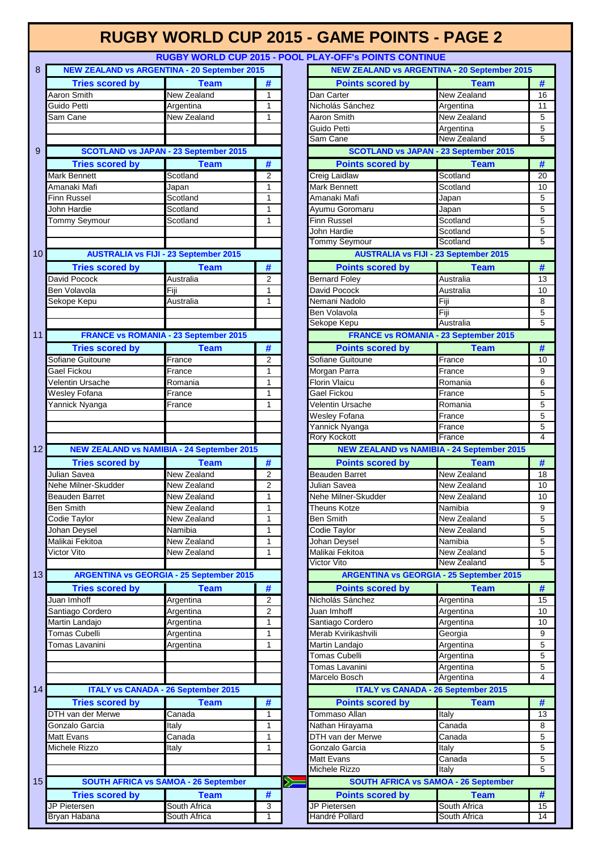#### **RUGBY WORLD CUP 2015 - POOL**

|                 |                                                     | NOODT MONED OOI ZOTJET OOET EATEOIT 3T OINTO OONTINGE |                |                                             |                                                     |                |
|-----------------|-----------------------------------------------------|-------------------------------------------------------|----------------|---------------------------------------------|-----------------------------------------------------|----------------|
| 8               | <b>NEW ZEALAND vs ARGENTINA - 20 September 2015</b> |                                                       |                |                                             | <b>NEW ZEALAND vs ARGENTINA - 20 September 2015</b> |                |
|                 | <b>Tries scored by</b>                              | <b>Team</b>                                           | #              | <b>Points scored by</b>                     | <b>Team</b>                                         | #              |
|                 | Aaron Smith                                         | New Zealand                                           | 1              | Dan Carter                                  | New Zealand                                         | 16             |
|                 | Guido Petti                                         | Argentina                                             | 1              | Nicholás Sánchez                            | Argentina                                           | 11             |
|                 | Sam Cane                                            | New Zealand                                           | $\mathbf{1}$   | Aaron Smith                                 | New Zealand                                         | 5              |
|                 |                                                     |                                                       |                | Guido Petti                                 | Argentina                                           | 5              |
|                 |                                                     |                                                       |                | Sam Cane                                    | <b>New Zealand</b>                                  | $\overline{5}$ |
| 9               |                                                     | <b>SCOTLAND vs JAPAN - 23 September 2015</b>          |                |                                             | <b>SCOTLAND vs JAPAN - 23 September 2015</b>        |                |
|                 | <b>Tries scored by</b>                              | <b>Team</b>                                           | #              | <b>Points scored by</b>                     | <b>Team</b>                                         | #              |
|                 | Mark Bennett                                        | Scotland                                              | $\overline{2}$ | Creig Laidlaw                               | Scotland                                            | 20             |
|                 | Amanaki Mafi                                        | Japan                                                 | 1              | Mark Bennett                                | Scotland                                            | 10             |
|                 | Finn Russel                                         | Scotland                                              | 1              | Amanaki Mafi                                | Japan                                               | $\mathbf 5$    |
|                 | John Hardie                                         | Scotland                                              | 1              | Ayumu Goromaru                              | Japan                                               | $\overline{5}$ |
|                 | <b>Tommy Seymour</b>                                | Scotland                                              | $\mathbf{1}$   | <b>Finn Russel</b>                          | Scotland                                            | $\overline{5}$ |
|                 |                                                     |                                                       |                | John Hardie                                 | Scotland                                            | 5              |
|                 |                                                     |                                                       |                | <b>Tommy Seymour</b>                        | Scotland                                            | $\overline{5}$ |
| 10 <sup>1</sup> |                                                     | <b>AUSTRALIA vs FIJI - 23 September 2015</b>          |                |                                             | <b>AUSTRALIA vs FIJI - 23 September 2015</b>        |                |
|                 | <b>Tries scored by</b>                              | <b>Team</b>                                           | #              | <b>Points scored by</b>                     | <b>Team</b>                                         | #              |
|                 | David Pocock                                        | Australia                                             | $\overline{2}$ | <b>Bernard Foley</b>                        | Australia                                           | 13             |
|                 | Ben Volavola                                        | Fiji                                                  | 1              | David Pocock                                | Australia                                           | 10             |
|                 | Sekope Kepu                                         | Australia                                             | 1              | Nemani Nadolo                               | Fiji                                                | 8              |
|                 |                                                     |                                                       |                | Ben Volavola                                | Fiji                                                | 5              |
|                 |                                                     |                                                       |                | Sekope Kepu                                 | Australia                                           | $\overline{5}$ |
| 11              |                                                     | <b>FRANCE vs ROMANIA - 23 September 2015</b>          |                |                                             | <b>FRANCE vs ROMANIA - 23 September 2015</b>        |                |
|                 | <b>Tries scored by</b>                              | <b>Team</b>                                           | #              | <b>Points scored by</b>                     | <b>Team</b>                                         | #              |
|                 | Sofiane Guitoune                                    | France                                                | $\overline{2}$ | Sofiane Guitoune                            | France                                              | 10             |
|                 | Gael Fickou                                         | France                                                | 1              | Morgan Parra                                | France                                              | 9              |
|                 | Velentin Ursache                                    | Romania                                               | 1              | Florin Vlaicu                               | Romania                                             | 6              |
|                 | Wesley Fofana                                       | France                                                | 1              | Gael Fickou                                 | France                                              | $\overline{5}$ |
|                 | Yannick Nyanga                                      | France                                                | 1              | Velentin Ursache                            | Romania                                             | $\overline{5}$ |
|                 |                                                     |                                                       |                | Wesley Fofana                               | France                                              | $\overline{5}$ |
|                 |                                                     |                                                       |                | Yannick Nyanga                              | France                                              | 5              |
|                 |                                                     |                                                       |                | <b>Rory Kockott</b>                         | France                                              | $\overline{4}$ |
| 12              |                                                     | <b>NEW ZEALAND vs NAMIBIA - 24 September 2015</b>     |                |                                             | <b>NEW ZEALAND vs NAMIBIA - 24 September 2015</b>   |                |
|                 | <b>Tries scored by</b>                              | <b>Team</b>                                           | #              | <b>Points scored by</b>                     | <b>Team</b>                                         | #              |
|                 | Julian Savea                                        | <b>New Zealand</b>                                    | $\overline{2}$ | <b>Beauden Barret</b>                       | <b>New Zealand</b>                                  | 18             |
|                 | Nehe Milner-Skudder                                 | New Zealand                                           | 2              | Julian Savea                                | New Zealand                                         | 10             |
|                 | Beauden Barret                                      | New Zealand                                           | 1              | Nehe Milner-Skudder                         | New Zealand                                         | 10             |
|                 | <b>Ben Smith</b>                                    | New Zealand                                           | 1              | <b>Theuns Kotze</b>                         | Namibia                                             | 9              |
|                 | Codie Taylor                                        | New Zealand                                           | 1              | <b>Ben Smith</b>                            | New Zealand                                         | $\mathbf 5$    |
|                 | Johan Deysel                                        | Namibia                                               | 1              | Codie Taylor                                | New Zealand                                         | $\overline{5}$ |
|                 | Malikai Fekitoa                                     | New Zealand                                           | 1              | Johan Deysel                                | Namibia                                             | $\overline{5}$ |
|                 | Victor Vito                                         | New Zealand                                           | 1              | Malikai Fekitoa                             | New Zealand                                         | 5              |
|                 |                                                     |                                                       |                | <b>Victor Vito</b>                          | <b>New Zealand</b>                                  | $\overline{5}$ |
| 13              |                                                     | <b>ARGENTINA vs GEORGIA - 25 September 2015</b>       |                |                                             | <b>ARGENTINA vs GEORGIA - 25 September 2015</b>     |                |
|                 |                                                     |                                                       |                |                                             |                                                     |                |
|                 | <b>Tries scored by</b><br>Juan Imhoff               | <b>Team</b>                                           | #              | <b>Points scored by</b><br>Nicholás Sánchez | <b>Team</b><br>Argentina                            | #<br>15        |
|                 |                                                     | Argentina                                             | 2              |                                             |                                                     |                |
|                 | Santiago Cordero                                    | Argentina<br>Argentina                                | 2              | Juan Imhoff<br>Santiago Cordero             | Argentina                                           | 10             |
|                 | Martin Landajo                                      |                                                       |                |                                             | Argentina                                           |                |
|                 |                                                     |                                                       | $\mathbf{1}$   |                                             |                                                     | 1 <sup>C</sup> |
|                 | <b>Tomas Cubelli</b>                                | Argentina                                             | 1              | Merab Kvirikashvili                         | Georgia                                             | $\overline{9}$ |
|                 | Tomas Lavanini                                      | Argentina                                             | 1              | Martin Landajo                              | Argentina                                           | $\overline{5}$ |
|                 |                                                     |                                                       |                | Tomas Cubelli                               | Argentina                                           | $\sqrt{5}$     |
|                 |                                                     |                                                       |                | Tomas Lavanini                              | Argentina                                           | 5              |
|                 |                                                     |                                                       |                | Marcelo Bosch                               | Argentina                                           | $\overline{4}$ |
|                 |                                                     | <b>ITALY vs CANADA - 26 September 2015</b>            |                |                                             | <b>ITALY vs CANADA - 26 September 2015</b>          |                |
|                 | <b>Tries scored by</b>                              | <b>Team</b>                                           | #              | <b>Points scored by</b>                     | <b>Team</b>                                         | #              |
|                 | DTH van der Merwe                                   | Canada                                                | 1              | Tommaso Allan                               | Italy                                               | 13             |
|                 | Gonzalo Garcia                                      | Italy                                                 | 1              | Nathan Hirayama                             | Canada                                              | 8              |
|                 | Matt Evans                                          | Canada                                                | $\mathbf{1}$   | DTH van der Merwe                           | Canada                                              | $\overline{5}$ |
|                 | Michele Rizzo                                       | Italy                                                 | 1              | Gonzalo Garcia                              | Italy                                               | $\overline{5}$ |
|                 |                                                     |                                                       |                | Matt Evans                                  | Canada                                              | 5              |
|                 |                                                     |                                                       |                | <b>Michele Rizzo</b>                        | Italy                                               | $\overline{5}$ |
|                 |                                                     | <b>SOUTH AFRICA vs SAMOA - 26 September</b>           |                | $\geqslant$                                 | <b>SOUTH AFRICA vs SAMOA - 26 September</b>         |                |
|                 | <b>Tries scored by</b>                              | <b>Team</b>                                           | #              | <b>Points scored by</b>                     | <b>Team</b>                                         | #              |
| 14<br>15        | JP Pietersen                                        | South Africa                                          | 3              | JP Pietersen                                | South Africa                                        | 15             |

|                                  |                                                   |                         |             | <b>RUGBT WORLD CUP 2015 - POOL PLAT-OFF'S POINTS CONTINUE</b> |                                        |         |
|----------------------------------|---------------------------------------------------|-------------------------|-------------|---------------------------------------------------------------|----------------------------------------|---------|
|                                  | EW ZEALAND vs ARGENTINA - 20 September 2015       |                         |             | <b>NEW ZEALAND vs ARGENTINA - 20 September 2015</b>           |                                        |         |
| <b>Tries scored by</b>           | <b>Team</b>                                       | #                       |             | <b>Points scored by</b>                                       | <b>Team</b>                            | #       |
| Smith                            | New Zealand                                       | $\mathbf{1}$            |             | Dan Carter                                                    | New Zealand                            | 16      |
| Petti                            | Argentina                                         | 1                       |             | Nicholás Sánchez                                              | Argentina                              | 11      |
| ane                              | New Zealand                                       | 1                       |             | Aaron Smith                                                   | New Zealand                            | 5       |
|                                  |                                                   |                         |             | Guido Petti<br>Sam Cane                                       | Argentina<br><b>New Zealand</b>        | 5<br>5  |
|                                  | <b>SCOTLAND vs JAPAN - 23 September 2015</b>      |                         |             | <b>SCOTLAND vs JAPAN - 23 September 2015</b>                  |                                        |         |
| <b>Tries scored by</b>           | <b>Team</b>                                       | #                       |             | <b>Points scored by</b>                                       | <b>Team</b>                            | #       |
| ennett                           | Scotland                                          | $\overline{2}$          |             | <b>Creig Laidlaw</b>                                          | Scotland                               | 20      |
| ıki Mafi                         | Japan                                             | 1                       |             | Mark Bennett                                                  | Scotland                               | 10      |
| ussel                            | Scotland                                          | 1                       |             | Amanaki Mafi                                                  | Japan                                  | 5       |
| lardie                           | Scotland                                          | 1                       |             | Ayumu Goromaru                                                | Japan                                  | 5       |
| y Seymour                        | Scotland                                          | 1                       |             | Finn Russel                                                   | Scotland                               | 5       |
|                                  |                                                   |                         |             | John Hardie                                                   | Scotland                               | 5       |
|                                  |                                                   |                         |             | <b>Tommy Seymour</b>                                          | Scotland                               | 5       |
|                                  | <b>AUSTRALIA vs FIJI - 23 September 2015</b>      |                         |             | <b>AUSTRALIA vs FIJI - 23 September 2015</b>                  |                                        |         |
| <b>Tries scored by</b><br>Pocock | <b>Team</b><br>Australia                          | #<br>$\overline{2}$     |             | <b>Points scored by</b><br><b>Bernard Foley</b>               | <b>Team</b><br>Australia               | #<br>13 |
| blavola                          | Fiji                                              | 1                       |             | David Pocock                                                  | Australia                              | 10      |
| e Kepu                           | Australia                                         | 1                       |             | Nemani Nadolo                                                 | Fiji                                   | 8       |
|                                  |                                                   |                         |             | Ben Volavola                                                  | Fiji                                   | 5       |
|                                  |                                                   |                         |             | Sekope Kepu                                                   | Australia                              | 5       |
|                                  | <b>FRANCE vs ROMANIA - 23 September 2015</b>      |                         |             | <b>FRANCE vs ROMANIA - 23 September 2015</b>                  |                                        |         |
| <b>Tries scored by</b>           | <b>Team</b>                                       | #                       |             | <b>Points scored by</b>                                       | <b>Team</b>                            | #       |
| <b>B</b> Guitoune                | France                                            | $\overline{2}$          |             | Sofiane Guitoune                                              | France                                 | 10      |
| ickou                            | France                                            | 1                       |             | Morgan Parra                                                  | France                                 | 9       |
| n Ursache                        | Romania                                           | $\mathbf{1}$            |             | <b>Florin Vlaicu</b>                                          | Romania                                | 6       |
| / Fofana                         | France                                            | 1                       |             | Gael Fickou                                                   | France                                 | 5       |
| k Nyanga                         | France                                            | 1                       |             | Velentin Ursache                                              | Romania                                | 5       |
|                                  |                                                   |                         |             | Wesley Fofana<br>Yannick Nyanga                               | France<br>France                       | 5<br>5  |
|                                  |                                                   |                         |             | <b>Rory Kockott</b>                                           | France                                 | 4       |
|                                  | <b>NEW ZEALAND vs NAMIBIA - 24 September 2015</b> |                         |             | <b>NEW ZEALAND vs NAMIBIA - 24 September 2015</b>             |                                        |         |
| <b>Tries scored by</b>           | <b>Team</b>                                       | #                       |             | <b>Points scored by</b>                                       | <b>Team</b>                            | #       |
| Savea                            | New Zealand                                       | $\overline{\mathbf{c}}$ |             | Beauden Barret                                                | New Zealand                            | 18      |
| Milner-Skudder                   | New Zealand                                       | $\overline{2}$          |             | Julian Savea                                                  | New Zealand                            | 10      |
| en Barret                        | New Zealand                                       | 1                       |             | Nehe Milner-Skudder                                           | New Zealand                            | 10      |
| nith                             | New Zealand                                       | 1                       |             | <b>Theuns Kotze</b>                                           | Namibia                                | 9       |
| Taylor                           | New Zealand                                       | 1<br>1                  |             | <b>Ben Smith</b>                                              | New Zealand<br>New Zealand             | 5       |
| Deysel<br>Fekitoa                | Namibia<br>New Zealand                            | 1                       |             | Codie Taylor<br>Johan Deysel                                  | Namibia                                | 5<br>5  |
| √ito                             | New Zealand                                       | 1                       |             | Malikai Fekitoa                                               | New Zealand                            | 5       |
|                                  |                                                   |                         |             | Victor Vito                                                   | <b>New Zealand</b>                     | 5       |
|                                  | <b>ARGENTINA vs GEORGIA - 25 September 2015</b>   |                         |             | <b>ARGENTINA vs GEORGIA - 25 September 2015</b>               |                                        |         |
| <b>Tries scored by</b>           | <b>Team</b>                                       | #                       |             | <b>Points scored by</b>                                       | <b>Team</b>                            | #       |
| nhoff                            | Argentina                                         | 2                       |             | Nicholás Sánchez                                              | Argentina                              | 15      |
| go Cordero                       | Argentina                                         | 2                       |             | Juan Imhoff                                                   | Argentina                              | 10      |
| Landajo                          | Argentina                                         | 1                       |             | Santiago Cordero                                              | Argentina                              | 10      |
| Cubelli                          | Argentina                                         | 1                       |             | Merab Kvirikashvili                                           | Georgia                                | 9       |
| Lavanini                         | Argentina                                         | 1                       |             | Martin Landajo<br>Tomas Cubelli                               | Argentina<br>Argentina                 | 5<br>5  |
|                                  |                                                   |                         |             | Tomas Lavanini                                                | Argentina                              | 5       |
|                                  |                                                   |                         |             | Marcelo Bosch                                                 | Argentina                              | 4       |
|                                  | <b>ITALY vs CANADA - 26 September 2015</b>        |                         |             | <b>ITALY vs CANADA - 26 September 2015</b>                    |                                        |         |
| <b>Tries scored by</b>           | <b>Team</b>                                       | #                       |             | <b>Points scored by</b>                                       | <b>Team</b>                            | #       |
| an der Merwe                     | Canada                                            | 1                       |             | Tommaso Allan                                                 | Italy                                  | 13      |
| lo Garcia                        | Italy                                             | 1                       |             | Nathan Hirayama                                               | Canada                                 | 8       |
| vans                             | Canada                                            | 1                       |             | DTH van der Merwe                                             | Canada                                 | 5       |
| e Rizzo                          | Italy                                             | 1                       |             | Gonzalo Garcia                                                | Italy                                  | 5       |
|                                  |                                                   |                         |             | Matt Evans<br>Michele Rizzo                                   | $\overline{\mathrm{C}}$ anada<br>Italy | 5<br>5  |
|                                  | <b>SOUTH AFRICA vs SAMOA - 26 September</b>       |                         | $\geqslant$ | <b>SOUTH AFRICA vs SAMOA - 26 September</b>                   |                                        |         |
| <b>Tries scored by</b>           | <b>Team</b>                                       | #                       |             | <b>Points scored by</b>                                       | <b>Team</b>                            | #       |
| tersen                           | South Africa                                      | 3                       |             | JP Pietersen                                                  | South Africa                           | 15      |
| Habana                           | South Africa                                      | 1                       |             | Handré Pollard                                                | South Africa                           | 14      |
|                                  |                                                   |                         |             |                                                               |                                        |         |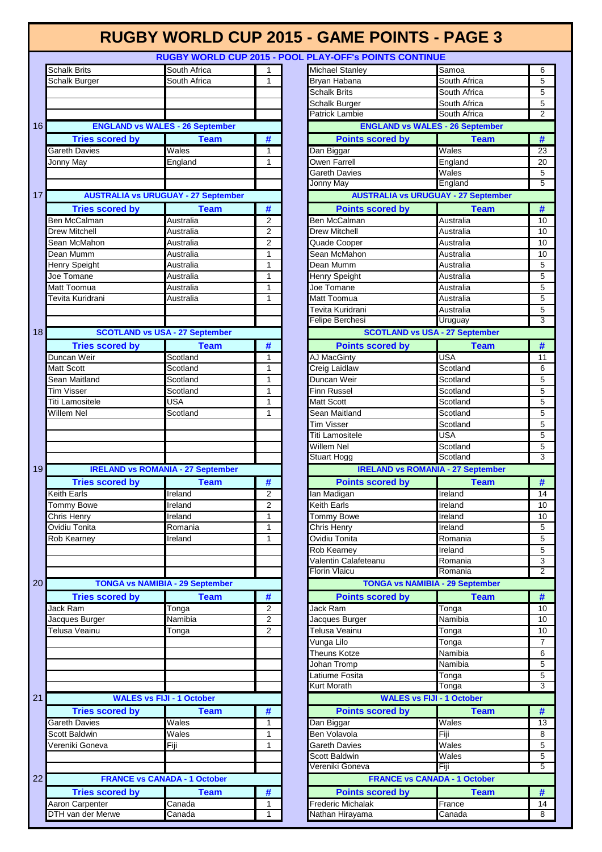|    | <b>Schalk Brits</b>                        | South Africa                 | 1              |
|----|--------------------------------------------|------------------------------|----------------|
|    | Schalk Burger                              | South Africa                 | 1              |
|    |                                            |                              |                |
|    |                                            |                              |                |
|    |                                            |                              |                |
| 16 | <b>ENGLAND vs WALES - 26 September</b>     |                              |                |
|    |                                            |                              |                |
|    | <b>Tries scored by</b>                     | <b>Team</b>                  | #              |
|    | <b>Gareth Davies</b>                       | Wales                        | 1              |
|    | Jonny May                                  | England                      | 1              |
|    |                                            |                              |                |
|    |                                            |                              |                |
| 17 | <b>AUSTRALIA vs URUGUAY - 27 September</b> |                              |                |
|    | <b>Tries scored by</b>                     | <b>Team</b>                  | #              |
|    | <b>Ben McCalman</b>                        | Australia                    | 2              |
|    | <b>Drew Mitchell</b>                       | Australia                    | 2              |
|    | Sean McMahon                               | Australia                    | $\overline{2}$ |
|    | Dean Mumm                                  | Australia                    | 1              |
|    | <b>Henry Speight</b>                       | Australia                    | 1              |
|    | Joe Tomane                                 | Australia                    | 1              |
|    | Matt Toomua                                | Australia                    | 1              |
|    | Tevita Kuridrani                           | Australia                    | 1              |
|    |                                            |                              |                |
|    |                                            |                              |                |
| 18 | <b>SCOTLAND vs USA - 27 September</b>      |                              |                |
|    | <b>Tries scored by</b>                     |                              | #              |
|    | Duncan Weir                                | <b>Team</b>                  |                |
|    |                                            | Scotland<br>Scotland         | 1<br>1         |
|    | Matt Scott                                 |                              |                |
|    | Sean Maitland                              | Scotland                     | 1              |
|    | <b>Tim Visser</b>                          | Scotland                     | 1              |
|    | Titi Lamositele                            | <b>USA</b>                   | 1              |
|    | Willem Nel                                 | Scotland                     | 1              |
|    |                                            |                              |                |
|    |                                            |                              |                |
|    |                                            |                              |                |
|    |                                            |                              |                |
|    |                                            |                              |                |
| 19 | <b>IRELAND vs ROMANIA - 27 September</b>   |                              |                |
|    | <b>Tries scored by</b>                     | Team                         | #              |
|    | <b>Keith Earls</b>                         | Ireland                      | 2              |
|    | Tommy Bowe                                 | Ireland                      | 2              |
|    | Chris Henry                                | Ireland                      | $\overline{1}$ |
|    | Ovidiu Tonita                              | Romania                      | 1              |
|    | Rob Kearney                                | Ireland                      | 1              |
|    |                                            |                              |                |
|    |                                            |                              |                |
|    |                                            |                              |                |
| 20 | <b>TONGA vs NAMIBIA - 29 September</b>     |                              |                |
|    | <b>Tries scored by</b>                     | Team                         |                |
|    |                                            |                              | #<br>2         |
|    | Jack Ram                                   | Tonga                        | 2              |
|    | Jacques Burger                             | Namibia                      | 2              |
|    | Telusa Veainu                              | Tonga                        |                |
|    |                                            |                              |                |
|    |                                            |                              |                |
|    |                                            |                              |                |
|    |                                            |                              |                |
|    |                                            |                              |                |
| 21 | <b>WALES vs FIJI - 1 October</b>           |                              |                |
|    | <b>Tries scored by</b>                     | <b>Team</b>                  | #              |
|    | <b>Gareth Davies</b>                       | Wales                        | 1              |
|    | Scott Baldwin                              | $\overline{\mathsf{W}}$ ales | 1              |
|    | Vereniki Goneva                            | Fiji                         | 1              |
|    |                                            |                              |                |
|    |                                            |                              |                |
| 22 | <b>FRANCE vs CANADA - 1 October</b>        |                              |                |
|    | <b>Tries scored by</b>                     | <b>Team</b>                  | #              |
|    | Aaron Carpenter<br>DTH van der Merwe       | Canada<br>Canada             | 1<br>1         |

| <b>Schalk Brits</b>                         | South Africa     | 1                           | Michael Stanley                             | Samoa                | 6              |
|---------------------------------------------|------------------|-----------------------------|---------------------------------------------|----------------------|----------------|
| Schalk Burger                               | South Africa     | 1                           | Bryan Habana                                | South Africa         | 5              |
|                                             |                  |                             | <b>Schalk Brits</b>                         | South Africa         | 5              |
|                                             |                  |                             | Schalk Burger                               | South Africa         | 5              |
|                                             |                  |                             | <b>Patrick Lambie</b>                       | South Africa         | $\overline{2}$ |
| <b>ENGLAND vs WALES - 26 September</b>      |                  |                             | <b>ENGLAND vs WALES - 26 September</b>      |                      |                |
| <b>Tries scored by</b>                      | <b>Team</b>      | #                           | <b>Points scored by</b>                     | <b>Team</b>          | #              |
| Gareth Davies                               | Wales            | $\mathbf{1}$                | Dan Biggar                                  | Wales                | 23             |
| Jonny May                                   | England          | 1                           | Owen Farrell                                | England              | 20             |
|                                             |                  |                             | Gareth Davies                               | Wales                | 5              |
|                                             |                  |                             | Jonny May                                   | England              | 5              |
| <b>AUSTRALIA vs URUGUAY - 27 September</b>  |                  |                             | <b>AUSTRALIA vs URUGUAY - 27 September</b>  |                      |                |
| <b>Tries scored by</b>                      | <b>Team</b>      | #                           | <b>Points scored by</b>                     | <b>Team</b>          | #              |
| Ben McCalman                                | Australia        | $\overline{2}$              | Ben McCalman                                | Australia            | 10             |
| <b>Drew Mitchell</b>                        | Australia        | $\overline{2}$              | Drew Mitchell                               | Australia            | 10             |
| Sean McMahon                                | Australia        | $\overline{2}$              | Quade Cooper                                | Australia            | 10             |
| Dean Mumm                                   | Australia        | 1                           | Sean McMahon                                | Australia            | 10             |
|                                             |                  | 1                           | Dean Mumm                                   |                      | 5              |
| Henry Speight                               | Australia        |                             |                                             | Australia            |                |
| Joe Tomane                                  | Australia        | 1                           | Henry Speight                               | Australia            | 5              |
| Matt Toomua                                 | Australia        | 1                           | Joe Tomane                                  | Australia            | 5              |
| Tevita Kuridrani                            | Australia        | 1                           | Matt Toomua                                 | Australia            | 5              |
|                                             |                  |                             | Tevita Kuridrani                            | Australia            | 5              |
|                                             |                  |                             | Felipe Berchesi                             | Uruguay              | 3              |
| <b>SCOTLAND vs USA - 27 September</b>       |                  |                             | <b>SCOTLAND vs USA - 27 September</b>       |                      |                |
| <b>Tries scored by</b>                      | Team             | #                           | <b>Points scored by</b>                     | <b>Team</b>          | $\#$           |
| Duncan Weir                                 | Scotland         | $\mathbf{1}$                | <b>AJ MacGinty</b>                          | <b>USA</b>           | 11             |
| Matt Scott                                  | Scotland         | 1                           | Creig Laidlaw                               | Scotland             | 6              |
| Sean Maitland                               | Scotland         | 1                           | Duncan Weir                                 | Scotland             | 5              |
| <b>Tim Visser</b>                           | Scotland         | $\mathbf{1}$                | Finn Russel                                 | Scotland             | 5              |
| Titi Lamositele                             | <b>USA</b>       | 1                           | Matt Scott                                  | Scotland             | 5              |
| Willem Nel                                  | Scotland         | 1                           | Sean Maitland                               | Scotland             | 5              |
|                                             |                  |                             | Tim Visser                                  | Scotland             | 5              |
|                                             |                  |                             | Titi Lamositele                             | <b>USA</b>           | 5              |
|                                             |                  |                             |                                             |                      |                |
|                                             |                  |                             |                                             |                      |                |
|                                             |                  |                             | Willem Nel<br>Stuart Hogg                   | Scotland<br>Scotland | 5<br>3         |
|                                             |                  |                             |                                             |                      |                |
| <b>IRELAND vs ROMANIA - 27 September</b>    |                  |                             | <b>IRELAND vs ROMANIA - 27 September</b>    |                      |                |
| <b>Tries scored by</b>                      | <b>Team</b>      | #                           | <b>Points scored by</b>                     | <b>Team</b>          | #              |
| <b>Keith Earls</b>                          | Ireland          | $\overline{2}$              | lan Madigan                                 | Ireland              | 14             |
| Tommy Bowe                                  | Ireland          | $\overline{2}$              | Keith Earls                                 | Ireland              | 10             |
| Chris Henry                                 | Ireland          | 1                           | <b>Tommy Bowe</b>                           | <b>Ireland</b>       | 10             |
| Ovidiu Tonita                               | Romania          | $\mathbf{1}$                | Chris Henry                                 | Ireland              | 5              |
| Rob Kearney                                 | Ireland          | $\mathbf{1}$                | Ovidiu Tonita                               | Romania              | 5              |
|                                             |                  |                             | Rob Kearney                                 | Ireland              | 5              |
|                                             |                  |                             | Valentin Calafeteanu                        | Romania              | 3              |
|                                             |                  |                             | <b>Florin Vlaicu</b>                        | Romania              | $\overline{2}$ |
| <b>TONGA vs NAMIBIA - 29 September</b>      |                  |                             | <b>TONGA vs NAMIBIA - 29 September</b>      |                      |                |
| <b>Tries scored by</b>                      | <b>Team</b>      | $\overline{\boldsymbol{t}}$ | <b>Points scored by</b>                     | <b>Team</b>          | #              |
|                                             | Tonga            | 2                           | Jack Ram                                    | Tonga                | 10             |
|                                             | Namibia          | 2                           | Jacques Burger                              | Namibia              | 10             |
|                                             | Tonga            | $\overline{2}$              | Telusa Veainu                               | Tonga                | 10             |
| Jack Ram<br>Jacques Burger<br>Telusa Veainu |                  |                             | Vunga Lilo                                  | Tonga                | $\overline{7}$ |
|                                             |                  |                             | Theuns Kotze                                | Namibia              | 6              |
|                                             |                  |                             | Johan Tromp                                 | Namibia              | 5              |
|                                             |                  |                             | Latiume Fosita                              |                      | 5              |
|                                             |                  |                             | <b>Kurt Morath</b>                          | Tonga<br>Tonga       | 3              |
| <b>WALES vs FIJI - 1 October</b>            |                  |                             | <b>WALES vs FIJI - 1 October</b>            |                      |                |
|                                             |                  |                             |                                             |                      |                |
| <b>Tries scored by</b>                      | <b>Team</b>      | $\overline{\boldsymbol{t}}$ | <b>Points scored by</b>                     | <b>Team</b>          | #              |
| Gareth Davies                               | Wales            | 1                           | Dan Biggar                                  | Wales                | 13             |
| Scott Baldwin                               | Wales            | 1                           | Ben Volavola                                | Fiji                 | 8              |
| Vereniki Goneva                             | Fiji             | 1                           | Gareth Davies                               | Wales                | 5              |
|                                             |                  |                             | Scott Baldwin                               | Wales                | 5              |
|                                             |                  |                             | Vereniki Goneva                             | Fiji                 | 5              |
| <b>FRANCE vs CANADA - 1 October</b>         |                  |                             | <b>FRANCE vs CANADA - 1 October</b>         |                      |                |
| <b>Tries scored by</b>                      | <b>Team</b>      | #                           | <b>Points scored by</b>                     | <b>Team</b>          | #              |
| Aaron Carpenter<br>DTH van der Merwe        | Canada<br>Canada | 1<br>1                      | <b>Frederic Michalak</b><br>Nathan Hirayama | France<br>Canada     | 14<br>8        |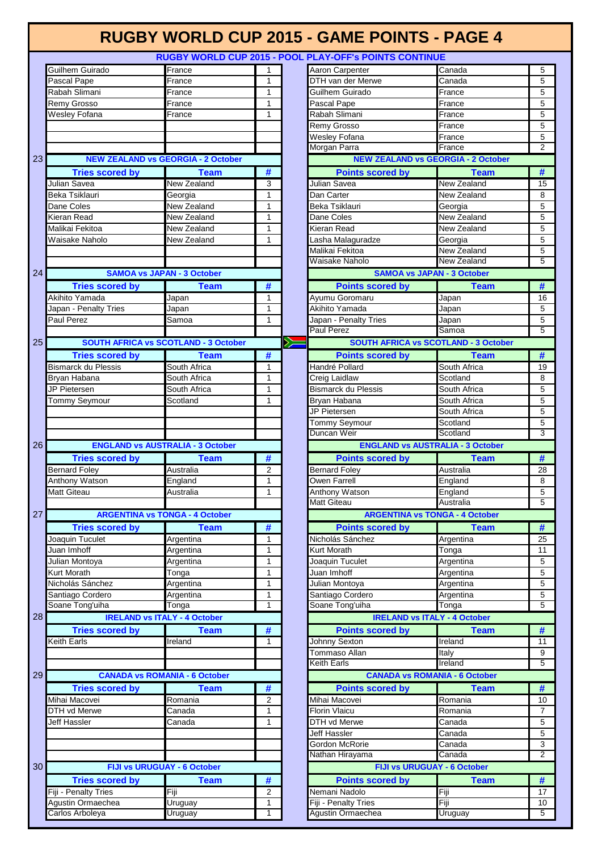#### **RUGBY WORLD CUP 2015 - GAME POINTS - PAGE 4 RUGBY WORLD CUP 2015 - POOL PLAY-OFF's POINTS CONTINUE** Guilhem Guirado **France France** 1 Aaron Carpenter Canada 5 5 Pascal Pape **France** France 1 DTH van der Merwe Canada 5 Rabah Slimani **France** France 1 Guilhem Guirado France 5 Remy Grosso France 1 Pascal Pape France 5 Wesley Fofana **France** France 1 Rabah Slimani France 5 Remy Grosso **France** France 5 Wesley Fofana **France** France 5 Morgan Parra **Communist Communist Prance** 2 **NEW ZEALAND vs GEORGIA - 2 October NEW ZEALAND vs GEORGIA - 2 October** 23 **Tries scored by Team # Points scored by Team #** Julian Savea New Zealand 3 Julian Savea New Zealand 15 Beka Tsiklauri Georgia 1 Dan Carter New Zealand 8 Dane Coles **New Zealand** 1 Beka Tsiklauri Georgia 6 Beka Tsiklauri Georgia 6 Beka Tsiklauri Georgia 6 Beka Tsiklauri Kieran Read New Zealand 1 Dane Coles New Zealand 5 Malikai Fekitoa **New Zealand** 11 Kieran Read New Zealand 5 Waisake Naholo **New Zealand** 1 Lasha Malaguradze Georgia **Georgia** 5 Malikai Fekitoa **New Zealand** 5 Waisake Naholo **New Zealand** 5 24 **SAMOA vs JAPAN - 3 October SAMOA vs JAPAN - 3 October Tries scored by Team # Points scored by Team #** Akihito Yamada Japan 1 Ayumu Goromaru Japan 16 Japan - Penalty Tries **Japan 1 | Akihito Yamada** Japan 5 | 5 Paul Perez **Samoa** 1 Japan - Penalty Tries Japan 3 Japan 5 Paul Perez 5 25 **SOUTH AFRICA vs SCOTLAND - 3 October SOUTH AFRICA vs SCOTLAND - 3 October**  $\geq$ **Tries scored by Team # Points scored by Team #** Bismarck du Plessis South Africa 1 1 Handré Pollard South Africa 19 Bryan Habana **South Africa** 1 1 Creig Laidlaw Scotland Scotland 8 JP Pietersen South Africa 1 Bismarck du Plessis South Africa 5 Tommy Seymour Scotland 1 Bryan Habana South Africa 5 JP Pietersen South Africa 5 Tommy Seymour Scotland 5 Duncan Weir **Scotland** 3 **ENGLAND vs AUSTRALIA - 3 October** 26 **ENGLAND vs AUSTRALIA - 3 October Tries scored by Team # Points scored by Team #** Bernard Foley Australia 2 Bernard Foley Australia 28 Anthony Watson **England England** 1 Owen Farrell **England** 8 **8** Matt Giteau **Australia** Australia 1 Anthony Watson **England** 5 Matt Giteau **Australia** 5 27 **ARGENTINA vs TONGA - 4 October ARGENTINA vs TONGA - 4 October Tries scored by Team # Points scored by Team #** Joaquin Tuculet Argentina 1 Nicholás Sánchez Argentina 25 Juan Imhoff Argentina 1 Kurt Morath Tonga 11 Julian Montoya Argentina 1 Joaquin Tuculet Argentina 5 Kurt Morath **Tonga** 1 Juan Imhoff **Argentina** Argentina 5 Nicholás Sánchez **Argentina** 1 **Julian Montoya** Argentina 5<br>Santiago Cordero Argentina 1 **Julian Montoya** Argentina 5 Argentina 1 1 Santiago Cordero Argentina 5 Soane Tong'uiha Tonga 1 Soane Tong'uiha Tonga 5 28 **IRELAND vs ITALY - 4 October IRELAND vs ITALY - 4 October Tries scored by Team # Points scored by Team #** Keith Earls **Indian Ireland** 1 **1** Johnny Sexton **Ireland** 11 **I** Tommaso Allan **Italy** 1taly 150 and 150 and 160 and 160 and 160 and 160 and 160 and 160 and 160 and 160 and 160 and 160 and 160 and 160 and 160 and 160 and 160 and 160 and 160 and 160 and 160 and 160 and 160 and 160 and 16 **Keith Earls I**reland 5 29 **CANADA vs ROMANIA - 6 October CANADA vs ROMANIA - 6 October Tries scored by Team # Points scored by Team #** Mihai Macovei Romania 2 Mihai Macovei Romania 10 DTH vd Merwe **Canada 1 Florin Vlaicu Romania** Romania 1 7 Jeff Hassler **Canada** Canada 1 DTH vd Merwe Canada 5 **Jeff Hassler** 5 Gordon McRorie **Canada** 3 Nathan Hirayama **2** Canada 2 30 **FIJI vs URUGUAY - 6 October FIJI vs URUGUAY - 6 OctoberTries scored by Team # Points scored by Team #** Fiji - Penalty Tries Fiji **Fiji** 17 Nemani Nadolo Fiji 17 Nemani Nadolo Fiji 17

Agustin Ormaechea Uruguay 1 Fiji - Penalty Tries Fiji 10 Carlos Arboleya **1 | Uruguay 1 | Agustin Ormaechea** Uruguay 5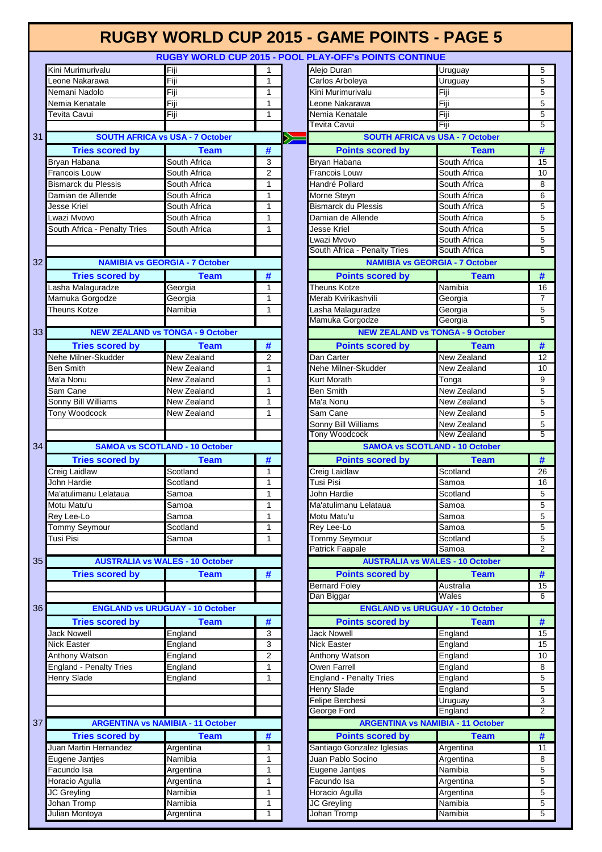|    |                                |                                          |                |       | RUGBY WORLD CUP 2015 - POOL PLAY-OFF'S POINTS CONTINUE |                    |                |
|----|--------------------------------|------------------------------------------|----------------|-------|--------------------------------------------------------|--------------------|----------------|
|    | Kini Murimurivalu              | Fiji                                     | 1              |       | Alejo Duran                                            | Uruguay            | 5              |
|    | Leone Nakarawa                 | Fiji                                     | 1              |       | Carlos Arboleya                                        | Uruguay            | 5              |
|    | Nemani Nadolo                  | Fiji                                     | 1              |       | Kini Murimurivalu                                      | Fiji               | 5              |
|    | Nemia Kenatale                 | Fiji                                     | 1              |       | eone Nakarawa                                          | Fiji               | 5              |
|    | Tevita Cavui                   | Fiji                                     | 1              |       | Nemia Kenatale                                         | Fiji               | 5              |
|    |                                |                                          |                |       | <b>Tevita Cavui</b>                                    | Fiji               | 5              |
| 31 |                                | <b>SOUTH AFRICA vs USA - 7 October</b>   |                | $\gg$ | <b>SOUTH AFRICA vs USA - 7 October</b>                 |                    |                |
|    | <b>Tries scored by</b>         | <b>Team</b>                              | #              |       | <b>Points scored by</b>                                | <b>Team</b>        | #              |
|    | Bryan Habana                   | South Africa                             | 3              |       | Bryan Habana                                           | South Africa       | 15             |
|    | Francois Louw                  | South Africa                             | $\overline{2}$ |       | <b>Francois Louw</b>                                   | South Africa       | 10             |
|    | Bismarck du Plessis            | South Africa                             | 1              |       | Handré Pollard                                         | South Africa       | 8              |
|    | Damian de Allende              | South Africa                             | 1              |       | Morne Steyn                                            | South Africa       | 6              |
|    | Jesse Kriel                    | South Africa                             | 1              |       | <b>Bismarck du Plessis</b>                             | South Africa       | 5              |
|    | Lwazi Mvovo                    | South Africa                             | 1              |       | Damian de Allende                                      | South Africa       | 5              |
|    | South Africa - Penalty Tries   | South Africa                             | $\mathbf{1}$   |       | Jesse Kriel                                            | South Africa       | 5              |
|    |                                |                                          |                |       | -wazi Mvovo                                            | South Africa       | 5              |
|    |                                |                                          |                |       | South Africa - Penalty Tries                           | South Africa       | $\overline{5}$ |
| 32 |                                | <b>NAMIBIA vs GEORGIA - 7 October</b>    |                |       | <b>NAMIBIA vs GEORGIA - 7 October</b>                  |                    |                |
|    |                                |                                          |                |       |                                                        |                    |                |
|    | <b>Tries scored by</b>         | <b>Team</b>                              | #              |       | <b>Points scored by</b>                                | <b>Team</b>        | #              |
|    | Lasha Malaguradze              | Georgia                                  | 1              |       | Theuns Kotze                                           | Namibia            | 16             |
|    | Mamuka Gorgodze                | Georgia                                  | 1              |       | Merab Kvirikashvili                                    | Georgia            | $\overline{7}$ |
|    | <b>Theuns Kotze</b>            | Namibia                                  | 1              |       | Lasha Malaguradze                                      | Georgia            | $\overline{5}$ |
|    |                                |                                          |                |       | Mamuka Gorgodze                                        | Georgia            | $\overline{5}$ |
| 33 |                                | <b>NEW ZEALAND vs TONGA - 9 October</b>  |                |       | <b>NEW ZEALAND vs TONGA - 9 October</b>                |                    |                |
|    | <b>Tries scored by</b>         | <b>Team</b>                              | #              |       | <b>Points scored by</b>                                | <b>Team</b>        | #              |
|    | Nehe Milner-Skudder            | New Zealand                              | $\overline{2}$ |       | Dan Carter                                             | New Zealand        | 12             |
|    | <b>Ben Smith</b>               | New Zealand                              | 1              |       | Nehe Milner-Skudder                                    | <b>New Zealand</b> | 10             |
|    | Ma'a Nonu                      | New Zealand                              | 1              |       | <b>Kurt Morath</b>                                     | Tonga              | 9              |
|    | Sam Cane                       | New Zealand                              | 1              |       | <b>Ben Smith</b>                                       | <b>New Zealand</b> | 5              |
|    | Sonny Bill Williams            | New Zealand                              | 1              |       | Ma'a Nonu                                              | New Zealand        | 5              |
|    | Tony Woodcock                  | New Zealand                              | 1              |       | Sam Cane                                               | New Zealand        | 5              |
|    |                                |                                          |                |       | Sonny Bill Williams                                    | <b>New Zealand</b> | $\mathbf 5$    |
|    |                                |                                          |                |       | <b>Tony Woodcock</b>                                   | New Zealand        | 5              |
| 34 |                                | <b>SAMOA vs SCOTLAND - 10 October</b>    |                |       | <b>SAMOA vs SCOTLAND - 10 October</b>                  |                    |                |
|    | <b>Tries scored by</b>         | <b>Team</b>                              | #              |       | <b>Points scored by</b>                                | <b>Team</b>        | #              |
|    | Creig Laidlaw                  | Scotland                                 | 1              |       | Creig Laidlaw                                          | Scotland           | 26             |
|    | John Hardie                    | Scotland                                 | 1              |       | Tusi Pisi                                              | Samoa              | 16             |
|    | Ma'atulimanu Lelataua          | Samoa                                    | 1              |       | John Hardie                                            | Scotland           | 5              |
|    | Motu Matu'u                    | Samoa                                    | 1              |       | Ma'atulimanu Lelataua                                  | Samoa              | 5              |
|    | Rey Lee-Lo                     | Samoa                                    | 1              |       | Motu Matu'u                                            | Samoa              | $\overline{5}$ |
|    | <b>Tommy Seymour</b>           | Scotland                                 | 1              |       | Rey Lee-Lo                                             | Samoa              | 5              |
|    | Tusi Pisi                      | Samoa                                    | 1              |       | <b>Tommy Seymour</b>                                   | Scotland           | 5              |
|    |                                |                                          |                |       | <b>Patrick Faapale</b>                                 | Samoa              | $\overline{2}$ |
| 35 |                                | <b>AUSTRALIA vs WALES - 10 October</b>   |                |       | <b>AUSTRALIA vs WALES - 10 October</b>                 |                    |                |
|    | <b>Tries scored by</b>         | <b>Team</b>                              | #              |       | <b>Points scored by</b>                                | <b>Team</b>        | #              |
|    |                                |                                          |                |       | <b>Bernard Foley</b>                                   | Australia          | 15             |
|    |                                |                                          |                |       | Dan Biggar                                             | Wales              | 6              |
| 36 |                                | <b>ENGLAND vs URUGUAY - 10 October</b>   |                |       | <b>ENGLAND vs URUGUAY - 10 October</b>                 |                    |                |
|    | <b>Tries scored by</b>         | <b>Team</b>                              | #              |       | <b>Points scored by</b>                                | <b>Team</b>        | #              |
|    | Jack Nowell                    | England                                  | 3              |       | <b>Jack Nowell</b>                                     | England            | 15             |
|    | Nick Easter                    | England                                  | 3              |       | Nick Easter                                            | England            | 15             |
|    | Anthony Watson                 | England                                  | $\overline{2}$ |       | Anthony Watson                                         | England            | 10             |
|    | <b>England - Penalty Tries</b> | England                                  | 1              |       | Owen Farrell                                           | England            | 8              |
|    | Henry Slade                    | England                                  | 1              |       | <b>England - Penalty Tries</b>                         | England            | 5              |
|    |                                |                                          |                |       | <b>Henry Slade</b>                                     | England            | 5              |
|    |                                |                                          |                |       | Felipe Berchesi                                        | Uruguay            | 3              |
|    |                                |                                          |                |       | George Ford                                            | England            | $\overline{2}$ |
| 37 |                                | <b>ARGENTINA vs NAMIBIA - 11 October</b> |                |       | <b>ARGENTINA vs NAMIBIA - 11 October</b>               |                    |                |
|    | <b>Tries scored by</b>         | <b>Team</b>                              | #              |       | <b>Points scored by</b>                                | <b>Team</b>        | $\#$           |
|    | Juan Martin Hernandez          | Argentina                                | 1              |       | Santiago Gonzalez Iglesias                             | Argentina          | 11             |
|    | Eugene Jantjes                 | Namibia                                  | 1              |       | Juan Pablo Socino                                      | Argentina          | 8              |
|    | Facundo Isa                    | Argentina                                | 1              |       | Eugene Jantjes                                         | Namibia            | 5              |
|    | Horacio Agulla                 | Argentina                                | 1              |       | Facundo Isa                                            | Argentina          | 5              |
|    | JC Greyling                    | Namibia                                  | $\mathbf{1}$   |       | Horacio Agulla                                         | Argentina          | 5              |
|    | Johan Tromp                    | Namibia                                  | 1              |       | JC Greyling                                            | Namibia            | 5              |
|    | Julian Montoya                 | Argentina                                | 1              |       | Johan Tromp                                            | Namibia            | $\overline{5}$ |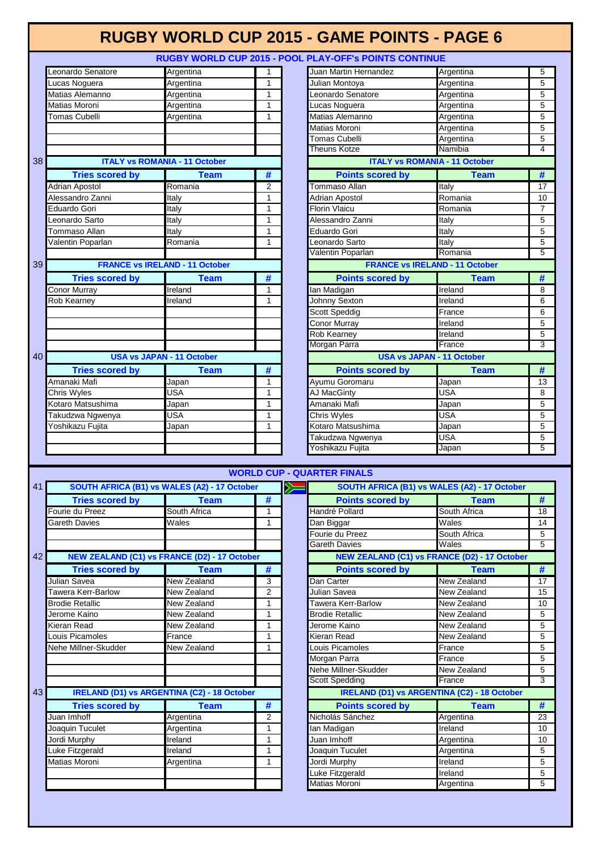### **RUGBY WORLD CUP 2015 - POOL PLAY-OFF's POINTS CONTINUE**

|    | Leonardo Senatore                                   | Argentina                                          | 1                     |                  |
|----|-----------------------------------------------------|----------------------------------------------------|-----------------------|------------------|
|    | Lucas Noguera                                       | Argentina                                          | 1                     |                  |
|    | Matias Alemanno                                     | Argentina                                          | 1                     |                  |
|    | Matias Moroni                                       | Argentina                                          | 1                     |                  |
|    | <b>Tomas Cubelli</b>                                | Argentina                                          | 1                     |                  |
|    |                                                     |                                                    |                       |                  |
|    |                                                     |                                                    |                       |                  |
|    |                                                     |                                                    |                       |                  |
|    |                                                     |                                                    |                       |                  |
| 38 |                                                     | <b>ITALY vs ROMANIA - 11 October</b>               |                       |                  |
|    | <b>Tries scored by</b>                              | <b>Team</b>                                        | #                     |                  |
|    |                                                     |                                                    |                       |                  |
|    | <b>Adrian Apostol</b>                               | Romania                                            | 2                     |                  |
|    | Alessandro Zanni                                    | <b>Italy</b>                                       | 1                     |                  |
|    | Eduardo Gori                                        | Italy                                              | 1                     |                  |
|    | Leonardo Sarto                                      | Italy                                              | 1                     |                  |
|    | Tommaso Allan                                       | Italy                                              | 1                     |                  |
|    | Valentin Poparlan                                   | Romania                                            | 1                     |                  |
|    |                                                     |                                                    |                       |                  |
|    |                                                     |                                                    |                       |                  |
| 39 |                                                     | <b>FRANCE vs IRELAND - 11 October</b>              |                       |                  |
|    | <b>Tries scored by</b>                              | <b>Team</b>                                        | #                     |                  |
|    | Conor Murray                                        | Ireland                                            | 1                     |                  |
|    | Rob Kearney                                         | Ireland                                            | 1                     |                  |
|    |                                                     |                                                    |                       |                  |
|    |                                                     |                                                    |                       |                  |
|    |                                                     |                                                    |                       |                  |
|    |                                                     |                                                    |                       |                  |
|    |                                                     |                                                    |                       |                  |
| 40 |                                                     | <b>USA vs JAPAN - 11 October</b>                   |                       |                  |
|    |                                                     |                                                    |                       |                  |
|    | <b>Tries scored by</b>                              | Team                                               | #                     |                  |
|    | Amanaki Mafi                                        | Japan                                              | 1                     |                  |
|    | Chris Wyles                                         | <b>USA</b>                                         | 1                     |                  |
|    | Kotaro Matsushima                                   | Japan                                              | 1                     |                  |
|    | Takudzwa Ngwenya                                    | <b>USA</b>                                         | 1                     |                  |
|    | Yoshikazu Fujita                                    | Japan                                              | 1                     |                  |
|    |                                                     |                                                    |                       |                  |
|    |                                                     |                                                    |                       |                  |
|    |                                                     |                                                    |                       |                  |
|    |                                                     |                                                    |                       |                  |
|    |                                                     |                                                    |                       |                  |
| 41 |                                                     |                                                    | <b>WORLD CUP - QU</b> |                  |
|    |                                                     |                                                    |                       |                  |
|    |                                                     | SOUTH AFRICA (B1) vs WALES (A2) - 17 October       |                       | $\sum_{i=1}^{n}$ |
|    | <b>Tries scored by</b>                              | <b>Team</b>                                        | #                     |                  |
|    | Fourie du Preez                                     | South Africa                                       | 1                     |                  |
|    | <b>Gareth Davies</b>                                | Wales                                              | 1                     |                  |
|    |                                                     |                                                    |                       |                  |
|    |                                                     |                                                    |                       |                  |
|    |                                                     |                                                    |                       |                  |
| 42 | <b>NEW ZEALAND (C1) vs FRANCE (D2) - 17 October</b> |                                                    |                       |                  |
|    | <b>Tries scored by</b>                              | <b>Team</b>                                        | #                     |                  |
|    | Julian Savea                                        | New Zealand                                        | 3                     |                  |
|    |                                                     |                                                    |                       |                  |
|    | Tawera Kerr-Barlow                                  | New Zealand                                        | 2                     |                  |
|    | <b>Brodie Retallic</b>                              | New Zealand                                        | 1                     |                  |
|    | Jerome Kaino                                        | New Zealand                                        | 1                     |                  |
|    | Kieran Read                                         | New Zealand                                        | 1                     |                  |
|    | Louis Picamoles                                     | France                                             | 1                     |                  |
|    | Nehe Millner-Skudder                                | New Zealand                                        | 1                     |                  |
|    |                                                     |                                                    |                       |                  |
|    |                                                     |                                                    |                       |                  |
|    |                                                     |                                                    |                       |                  |
|    |                                                     |                                                    |                       |                  |
| 43 |                                                     | <b>IRELAND (D1) vs ARGENTINA (C2) - 18 October</b> |                       |                  |
|    |                                                     |                                                    |                       |                  |
|    | <b>Tries scored by</b>                              | <b>Team</b>                                        | #                     |                  |
|    | Juan Imhoff                                         | Argentina                                          | 2                     |                  |
|    | Joaquin Tuculet                                     | Argentina                                          | 1                     |                  |
|    | Jordi Murphy                                        | Ireland                                            | 1                     |                  |
|    | Luke Fitzgerald                                     | Ireland                                            | 1                     |                  |
|    | Matias Moroni                                       | Argentina                                          | 1                     |                  |
|    |                                                     |                                                    |                       |                  |
|    |                                                     |                                                    |                       |                  |

| Leonardo Senatore      | Argentina                             | 1 | Juan Martin Hernandez                 | Argentina   | 5              |
|------------------------|---------------------------------------|---|---------------------------------------|-------------|----------------|
| Lucas Noguera          | Argentina                             | 1 | Julian Montoya                        | Argentina   | 5              |
| Matias Alemanno        | Argentina                             | 1 | eonardo Senatore                      | Argentina   | 5              |
| Matias Moroni          | Argentina                             | 1 | Lucas Noguera                         | Argentina   | 5              |
| <b>Tomas Cubelli</b>   | Argentina                             | 1 | Matias Alemanno                       | Argentina   | 5              |
|                        |                                       |   | Matias Moroni                         | Argentina   | 5              |
|                        |                                       |   | Tomas Cubelli                         | Argentina   | 5              |
|                        |                                       |   | Theuns Kotze                          | Namibia     | 4              |
|                        | <b>ITALY vs ROMANIA - 11 October</b>  |   | <b>ITALY vs ROMANIA - 11 October</b>  |             |                |
| <b>Tries scored by</b> | <b>Team</b>                           | # | <b>Points scored by</b>               | <b>Team</b> | #              |
| Adrian Apostol         | Romania                               | 2 | Tommaso Allan                         | Italy       | 17             |
| Alessandro Zanni       | Italy                                 | 1 | Adrian Apostol                        | Romania     | 10             |
| Eduardo Gori           | Italy                                 | 1 | <b>Florin Vlaicu</b>                  | Romania     | $\overline{7}$ |
| Leonardo Sarto         | Italy                                 | 1 | Alessandro Zanni                      | Italy       | 5              |
| Tommaso Allan          | Italy                                 | 1 | Eduardo Gori                          | Italy       | 5              |
| Valentin Poparlan      | Romania                               | 1 | eonardo Sarto                         | Italy       | 5              |
|                        |                                       |   | Valentin Poparlan                     | Romania     | 5              |
|                        | <b>FRANCE vs IRELAND - 11 October</b> |   | <b>FRANCE vs IRELAND - 11 October</b> |             |                |
| <b>Tries scored by</b> | <b>Team</b>                           | # | <b>Points scored by</b>               | <b>Team</b> | #              |
| Conor Murray           | Ireland                               | 1 | lan Madigan                           | Ireland     | 8              |
| Rob Kearney            | Ireland                               | 1 | Johnny Sexton                         | Ireland     | 6              |
|                        |                                       |   | <b>Scott Speddig</b>                  | France      | 6              |
|                        |                                       |   | Conor Murrav                          | Ireland     | 5              |
|                        |                                       |   | Rob Kearney                           | Ireland     | 5              |
|                        |                                       |   | Morgan Parra                          | France      | 3              |
|                        | <b>USA vs JAPAN - 11 October</b>      |   | <b>USA vs JAPAN - 11 October</b>      |             |                |
| <b>Tries scored by</b> | <b>Team</b>                           | # | <b>Points scored by</b>               | <b>Team</b> | #              |
| Amanaki Mafi           | Japan                                 | 1 | Ayumu Goromaru                        | Japan       | 13             |
| Chris Wyles            | USA                                   | 1 | <b>AJ MacGinty</b>                    | <b>USA</b>  | 8              |
| Kotaro Matsushima      | Japan                                 | 1 | Amanaki Mafi                          | Japan       | 5              |
| Takudzwa Ngwenya       | USA                                   | 1 | Chris Wyles                           | <b>USA</b>  | 5              |
| Yoshikazu Fujita       | Japan                                 | 1 | Kotaro Matsushima                     | Japan       | 5              |
|                        |                                       |   | Takudzwa Ngwenya                      | <b>USA</b>  | 5              |
|                        |                                       |   | Yoshikazu Fujita                      | Japan       | $\overline{5}$ |
|                        |                                       |   |                                       |             |                |

### **P - QUARTER FINALS**

| SOUTH AFRICA (B1) vs WALES (A2) - 17 October |                                                     |                |  | SOUTH AFRICA (B1) vs WALES (A2) - 17 October       |                    |                |
|----------------------------------------------|-----------------------------------------------------|----------------|--|----------------------------------------------------|--------------------|----------------|
| <b>Tries scored by</b>                       | <b>Team</b>                                         | #              |  | <b>Points scored by</b>                            | <b>Team</b>        | #              |
| Fourie du Preez                              | South Africa                                        |                |  | Handré Pollard                                     | South Africa       | 18             |
| <b>Gareth Davies</b>                         | Wales                                               | 1              |  | Dan Biggar                                         | Wales              | 14             |
|                                              |                                                     |                |  | Fourie du Preez                                    | South Africa       | 5              |
|                                              |                                                     |                |  | Gareth Davies                                      | Wales              | 5              |
|                                              | <b>NEW ZEALAND (C1) vs FRANCE (D2) - 17 October</b> |                |  | NEW ZEALAND (C1) vs FRANCE (D2) - 17 October       |                    |                |
| <b>Tries scored by</b>                       | <b>Team</b>                                         | #              |  | <b>Points scored by</b>                            | <b>Team</b>        | #              |
| Julian Savea                                 | New Zealand                                         | 3              |  | Dan Carter                                         | <b>New Zealand</b> | 17             |
| Tawera Kerr-Barlow                           | New Zealand                                         | $\overline{2}$ |  | Julian Savea                                       | New Zealand        | 15             |
| <b>Brodie Retallic</b>                       | New Zealand                                         | 1              |  | Tawera Kerr-Barlow                                 | New Zealand        | 10             |
| Jerome Kaino                                 | New Zealand                                         | 1              |  | <b>Brodie Retallic</b>                             | New Zealand        | 5              |
| Kieran Read                                  | New Zealand                                         | 1              |  | Jerome Kaino                                       | New Zealand        | 5              |
| Louis Picamoles                              | France                                              | 1              |  | Kieran Read                                        | New Zealand        | 5              |
| Nehe Millner-Skudder                         | New Zealand                                         | 1              |  | Louis Picamoles                                    | France             | 5              |
|                                              |                                                     |                |  | Morgan Parra                                       | France             | 5              |
|                                              |                                                     |                |  | Nehe Millner-Skudder                               | New Zealand        | 5              |
|                                              |                                                     |                |  | <b>Scott Spedding</b>                              | France             | 3              |
|                                              | <b>IRELAND (D1) vs ARGENTINA (C2) - 18 October</b>  |                |  | <b>IRELAND (D1) vs ARGENTINA (C2) - 18 October</b> |                    |                |
| <b>Tries scored by</b>                       | <b>Team</b>                                         | #              |  | <b>Points scored by</b>                            | <b>Team</b>        | #              |
| Juan Imhoff                                  | Argentina                                           | $\overline{2}$ |  | Nicholás Sánchez                                   | Argentina          | 23             |
| Joaquin Tuculet                              | Argentina                                           | 1              |  | lan Madigan                                        | Ireland            | 10             |
| Jordi Murphy                                 | Ireland                                             | 1              |  | Juan Imhoff                                        | Argentina          | 10             |
| Luke Fitzgerald                              | Ireland                                             | 1              |  | Joaquin Tuculet                                    | Argentina          | 5              |
| Matias Moroni                                | Argentina                                           | 1              |  | Jordi Murphy                                       | Ireland            | 5              |
|                                              |                                                     |                |  | Luke Fitzgerald                                    | Ireland            | 5              |
|                                              |                                                     |                |  | Matias Moroni                                      | Argentina          | $\overline{5}$ |
|                                              |                                                     |                |  |                                                    |                    |                |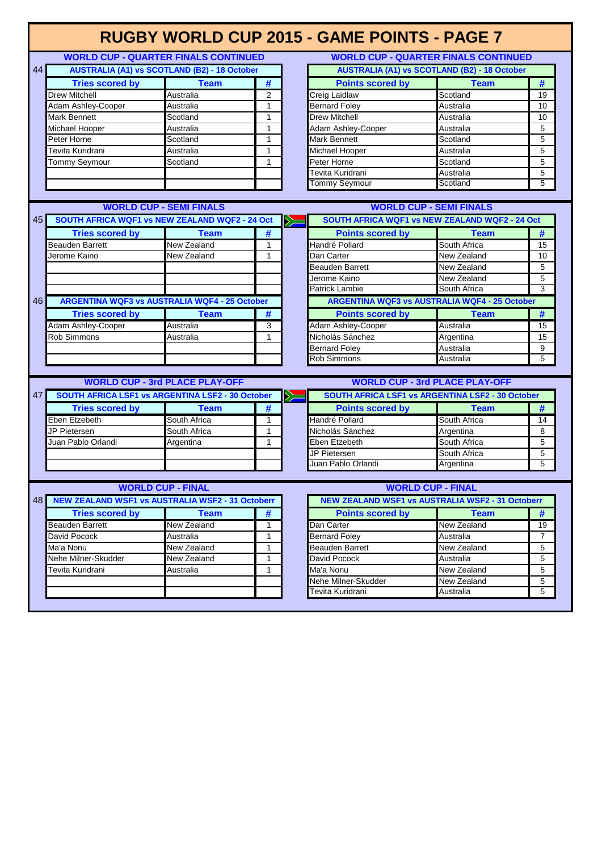|    |                                                         |                                                     |                |            | <b>RUGBY WORLD CUP 2015 - GAME POINTS - PAGE 7</b>      |                                                     |                |
|----|---------------------------------------------------------|-----------------------------------------------------|----------------|------------|---------------------------------------------------------|-----------------------------------------------------|----------------|
|    |                                                         | <b>WORLD CUP - QUARTER FINALS CONTINUED</b>         |                |            | <b>WORLD CUP - QUARTER FINALS CONTINUED</b>             |                                                     |                |
| 44 |                                                         | <b>AUSTRALIA (A1) vs SCOTLAND (B2) - 18 October</b> |                |            |                                                         | <b>AUSTRALIA (A1) vs SCOTLAND (B2) - 18 October</b> |                |
|    | <b>Tries scored by</b>                                  | <b>Team</b>                                         | #              |            | <b>Points scored by</b>                                 | <b>Team</b>                                         | #              |
|    | Drew Mitchell                                           | Australia                                           | $\overline{2}$ |            | Creig Laidlaw                                           | Scotland                                            | 19             |
|    | Adam Ashley-Cooper                                      | Australia                                           | 1              |            | <b>Bernard Foley</b>                                    | Australia                                           | 10             |
|    | Mark Bennett                                            | Scotland                                            | $\mathbf{1}$   |            | <b>Drew Mitchell</b>                                    | Australia                                           | 10             |
|    | Michael Hooper                                          | Australia                                           | 1              |            | <b>Adam Ashley-Cooper</b>                               | Australia                                           | 5              |
|    | Peter Horne                                             | Scotland                                            | $\mathbf{1}$   |            | Mark Bennett                                            | Scotland                                            | 5              |
|    | Tevita Kuridrani                                        | Australia                                           | $\mathbf{1}$   |            | Michael Hooper                                          | Australia                                           | 5              |
|    | Tommy Seymour                                           | Scotland                                            | $\mathbf{1}$   |            | Peter Horne                                             | Scotland                                            | 5              |
|    |                                                         |                                                     |                |            | Tevita Kuridrani                                        | Australia                                           | 5              |
|    |                                                         |                                                     |                |            | Tommy Seymour                                           | Scotland                                            | 5              |
|    |                                                         |                                                     |                |            |                                                         |                                                     |                |
|    |                                                         | <b>WORLD CUP - SEMI FINALS</b>                      |                |            |                                                         | <b>WORLD CUP - SEMI FINALS</b>                      |                |
| 45 | SOUTH AFRICA WQF1 vs NEW ZEALAND WQF2 - 24 Oct          |                                                     |                | $\gg$      | SOUTH AFRICA WQF1 vs NEW ZEALAND WQF2 - 24 Oct          |                                                     |                |
|    | <b>Tries scored by</b>                                  | <b>Team</b>                                         | #              |            | <b>Points scored by</b>                                 | <b>Team</b>                                         | #              |
|    | <b>Beauden Barrett</b>                                  | New Zealand                                         | 1              |            | Handré Pollard                                          | South Africa                                        | 15             |
|    | Jerome Kaino                                            | New Zealand                                         | $\mathbf{1}$   |            | Dan Carter                                              | New Zealand                                         | 10             |
|    |                                                         |                                                     |                |            | <b>Beauden Barrett</b>                                  | New Zealand                                         | 5              |
|    |                                                         |                                                     |                |            | Jerome Kaino                                            | New Zealand                                         | 5              |
|    |                                                         |                                                     |                |            | Patrick Lambie                                          | South Africa                                        | 3              |
| 46 | <b>ARGENTINA WQF3 vs AUSTRALIA WQF4 - 25 October</b>    |                                                     |                |            | <b>ARGENTINA WQF3 vs AUSTRALIA WQF4 - 25 October</b>    |                                                     |                |
|    | <b>Tries scored by</b>                                  | <b>Team</b>                                         | #              |            | <b>Points scored by</b>                                 | <b>Team</b>                                         | #              |
|    | Adam Ashley-Cooper                                      | Australia                                           | 3              |            | Adam Ashley-Cooper                                      | Australia                                           | 15             |
|    | Rob Simmons                                             | Australia                                           | $\mathbf{1}$   |            | Nicholás Sánchez                                        | Argentina                                           | 15             |
|    |                                                         |                                                     |                |            | <b>Bernard Foley</b>                                    | Australia                                           | 9              |
|    |                                                         |                                                     |                |            | <b>Rob Simmons</b>                                      | Australia                                           | $\overline{5}$ |
|    |                                                         | <b>WORLD CUP - 3rd PLACE PLAY-OFF</b>               |                |            |                                                         | <b>WORLD CUP - 3rd PLACE PLAY-OFF</b>               |                |
| 47 | <b>SOUTH AFRICA LSF1 vs ARGENTINA LSF2 - 30 October</b> |                                                     |                | $\searrow$ | <b>SOUTH AFRICA LSF1 vs ARGENTINA LSF2 - 30 October</b> |                                                     |                |
|    | <b>Tries scored by</b>                                  | <b>Team</b>                                         | #              |            | <b>Points scored by</b>                                 | <b>Team</b>                                         | #              |
|    | Eben Etzebeth                                           | South Africa                                        | 1              |            | Handré Pollard                                          | South Africa                                        | 14             |
|    | JP Pietersen                                            | South Africa                                        | $\mathbf{1}$   |            | Nicholás Sánchez                                        | Argentina                                           | 8              |
|    | Juan Pablo Orlandi                                      | Argentina                                           | $\mathbf{1}$   |            | Eben Etzebeth                                           | South Africa                                        | 5              |
|    |                                                         |                                                     |                |            | JP Pietersen                                            | South Africa                                        | 5              |
|    |                                                         |                                                     |                |            | Juan Pablo Orlandi                                      | Argentina                                           | 5              |
|    |                                                         |                                                     |                |            |                                                         |                                                     |                |
|    |                                                         | <b>WORLD CUP - FINAL</b>                            |                |            |                                                         | <b>WORLD CUP - FINAL</b>                            |                |
| 48 | <b>NEW ZEALAND WSF1 vs AUSTRALIA WSF2 - 31 Octoberr</b> |                                                     |                |            | <b>NEW ZEALAND WSF1 vs AUSTRALIA WSF2 - 31 Octoberr</b> |                                                     |                |
|    | <b>Tries scored by</b>                                  | <b>Team</b>                                         | #              |            | <b>Points scored by</b>                                 | <b>Team</b>                                         | #              |
|    | Beauden Barrett                                         | New Zealand                                         | 1              |            | Dan Carter                                              | New Zealand                                         | 19             |
|    | David Pocock                                            | Australia                                           | 1              |            | <b>Bernard Foley</b>                                    | Australia                                           | $\overline{7}$ |
|    | Ma'a Nonu                                               | New Zealand                                         | 1              |            | <b>Beauden Barrett</b>                                  | New Zealand                                         | 5              |
|    | Nehe Milner-Skudder                                     | New Zealand                                         | $\mathbf{1}$   |            | David Pocock                                            | Australia                                           | 5              |
|    | Tevita Kuridrani                                        | Australia                                           | $\mathbf{1}$   |            | Ma'a Nonu                                               | New Zealand                                         | 5              |
|    |                                                         |                                                     |                |            | Nehe Milner-Skudder                                     | New Zealand                                         | 5              |
|    |                                                         |                                                     |                |            | Tevita Kuridrani                                        | Australia                                           | 5              |